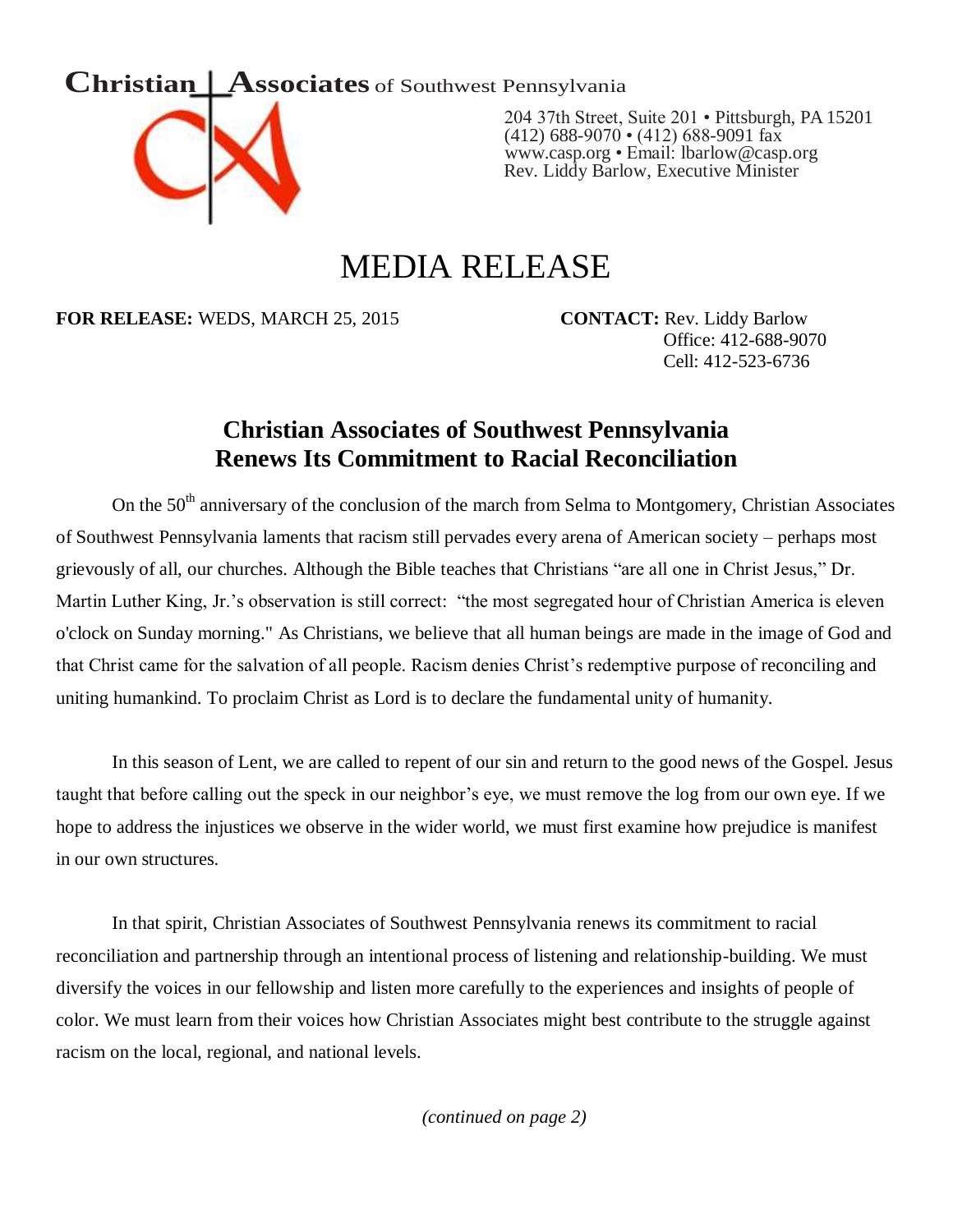

204 37th Street, Suite 201 • Pittsburgh, PA 15201 (412) 688-9070 • (412) 688-9091 fax [www.casp.org](http://www.casp.org/) • Email: lbarlow@casp.org Rev. Liddy Barlow, Executive Minister

## MEDIA RELEASE

**FOR RELEASE:** WEDS, MARCH 25, 2015 **CONTACT:** Rev. Liddy Barlow

 Office: 412-688-9070 Cell: 412-523-6736

## **Christian Associates of Southwest Pennsylvania Renews Its Commitment to Racial Reconciliation**

On the 50<sup>th</sup> anniversary of the conclusion of the march from Selma to Montgomery, Christian Associates of Southwest Pennsylvania laments that racism still pervades every arena of American society – perhaps most grievously of all, our churches. Although the Bible teaches that Christians "are all one in Christ Jesus," Dr. Martin Luther King, Jr.'s observation is still correct: "the most segregated hour of Christian America is eleven o'clock on Sunday morning." As Christians, we believe that all human beings are made in the image of God and that Christ came for the salvation of all people. Racism denies Christ's redemptive purpose of reconciling and uniting humankind. To proclaim Christ as Lord is to declare the fundamental unity of humanity.

In this season of Lent, we are called to repent of our sin and return to the good news of the Gospel. Jesus taught that before calling out the speck in our neighbor's eye, we must remove the log from our own eye. If we hope to address the injustices we observe in the wider world, we must first examine how prejudice is manifest in our own structures.

In that spirit, Christian Associates of Southwest Pennsylvania renews its commitment to racial reconciliation and partnership through an intentional process of listening and relationship-building. We must diversify the voices in our fellowship and listen more carefully to the experiences and insights of people of color. We must learn from their voices how Christian Associates might best contribute to the struggle against racism on the local, regional, and national levels.

*(continued on page 2)*